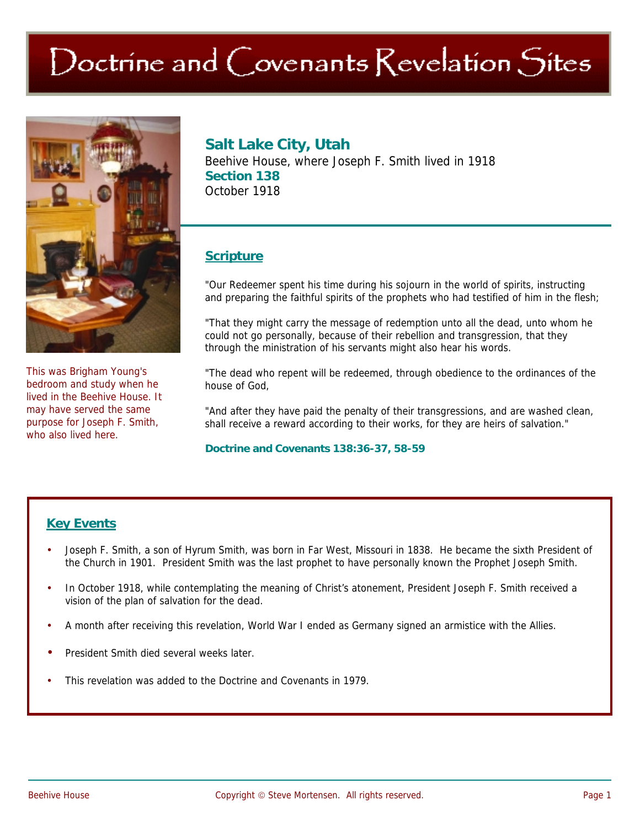# Doctrine and Covenants Revelation Sites



This was Brigham Young's bedroom and study when he lived in the Beehive House. It may have served the same purpose for Joseph F. Smith, who also lived here.

## **Salt Lake City, Utah**

Beehive House, where Joseph F. Smith lived in 1918 **Section 138**  October 1918

### **Scripture**

"Our Redeemer spent his time during his sojourn in the world of spirits, instructing and preparing the faithful spirits of the prophets who had testified of him in the flesh;

"That they might carry the message of redemption unto all the dead, unto whom he could not go personally, because of their rebellion and transgression, that they through the ministration of his servants might also hear his words.

"The dead who repent will be redeemed, through obedience to the ordinances of the house of God,

"And after they have paid the penalty of their transgressions, and are washed clean, shall receive a reward according to their works, for they are heirs of salvation."

**Doctrine and Covenants 138:36-37, 58-59** 

#### **Key Events**

- Joseph F. Smith, a son of Hyrum Smith, was born in Far West, Missouri in 1838. He became the sixth President of the Church in 1901. President Smith was the last prophet to have personally known the Prophet Joseph Smith.
- In October 1918, while contemplating the meaning of Christ's atonement, President Joseph F. Smith received a vision of the plan of salvation for the dead.
- A month after receiving this revelation, World War I ended as Germany signed an armistice with the Allies.
- President Smith died several weeks later.
- This revelation was added to the Doctrine and Covenants in 1979.